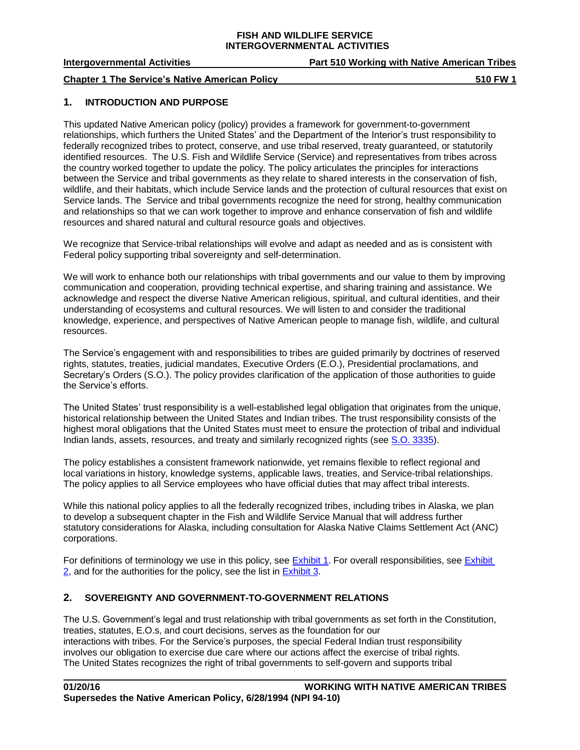**Intergovernmental Activities Part 510 Working with Native American Tribes**

**Chapter 1** The Service's Native American Policy **510 FW** 1

# **1. INTRODUCTION AND PURPOSE**

This updated Native American policy (policy) provides a framework for government-to-government relationships, which furthers the United States' and the Department of the Interior's trust responsibility to federally recognized tribes to protect, conserve, and use tribal reserved, treaty guaranteed, or statutorily identified resources. The U.S. Fish and Wildlife Service (Service) and representatives from tribes across the country worked together to update the policy. The policy articulates the principles for interactions between the Service and tribal governments as they relate to shared interests in the conservation of fish, wildlife, and their habitats, which include Service lands and the protection of cultural resources that exist on Service lands. The Service and tribal governments recognize the need for strong, healthy communication and relationships so that we can work together to improve and enhance conservation of fish and wildlife resources and shared natural and cultural resource goals and objectives.

We recognize that Service-tribal relationships will evolve and adapt as needed and as is consistent with Federal policy supporting tribal sovereignty and self-determination.

We will work to enhance both our relationships with tribal governments and our value to them by improving communication and cooperation, providing technical expertise, and sharing training and assistance. We acknowledge and respect the diverse Native American religious, spiritual, and cultural identities, and their understanding of ecosystems and cultural resources. We will listen to and consider the traditional knowledge, experience, and perspectives of Native American people to manage fish, wildlife, and cultural resources.

The Service's engagement with and responsibilities to tribes are guided primarily by doctrines of reserved rights, statutes, treaties, judicial mandates, Executive Orders (E.O.), Presidential proclamations, and Secretary's Orders (S.O.). The policy provides clarification of the application of those authorities to guide the Service's efforts.

The United States' trust responsibility is a well-established legal obligation that originates from the unique, historical relationship between the United States and Indian tribes. The trust responsibility consists of the highest moral obligations that the United States must meet to ensure the protection of tribal and individual Indian lands, assets, resources, and treaty and similarly recognized rights (see S.O. [3335\)](http://elips.doi.gov/elips/0/doc/4049/Page1.aspx).

The policy establishes a consistent framework nationwide, yet remains flexible to reflect regional and local variations in history, knowledge systems, applicable laws, treaties, and Service-tribal relationships. The policy applies to all Service employees who have official duties that may affect tribal interests.

While this national policy applies to all the federally recognized tribes, including tribes in Alaska, we plan to develop a subsequent chapter in the Fish and Wildlife Service Manual that will address further statutory considerations for Alaska, including consultation for Alaska Native Claims Settlement Act (ANC) corporations.

For definitions of terminology we use in this policy, see [Exhibit 1.](http://www.fws.gov/policy/e1510fw1.html) For overall responsibilities, see [Exhibit](http://www.fws.gov/policy/e2510fw1.html)   $2$ , and for the authorities for the policy, see the list in  $Exhibit 3$ .

# **2. SOVEREIGNTY AND GOVERNMENT-TO-GOVERNMENT RELATIONS**

The U.S. Government's legal and trust relationship with tribal governments as set forth in the Constitution, treaties, statutes, E.O.s, and court decisions, serves as the foundation for our interactions with tribes. For the Service's purposes, the special Federal Indian trust responsibility involves our obligation to exercise due care where our actions affect the exercise of tribal rights. The United States recognizes the right of tribal governments to self-govern and supports tribal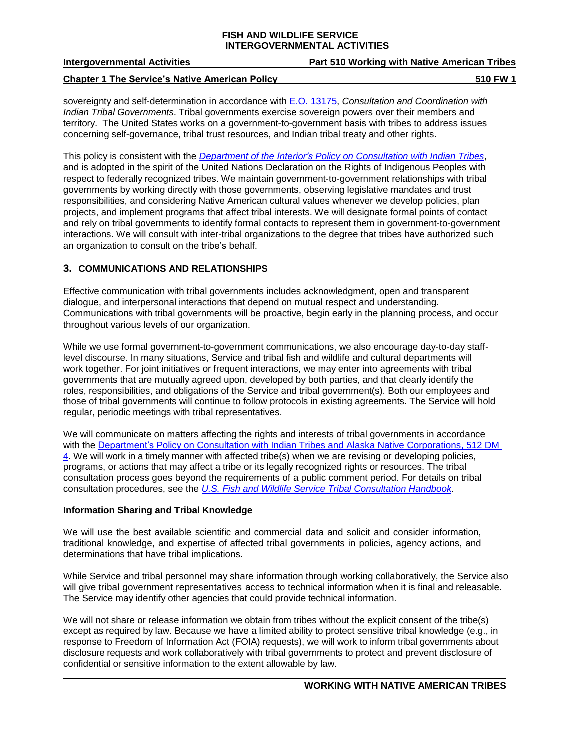| <b>Intergovernmental Activities</b> | <b>Part 510 Working with Native American Tribes</b> |
|-------------------------------------|-----------------------------------------------------|
|                                     |                                                     |

#### **Chapter 1 The Service's Native American Policy 510 FW 1**

sovereignty and self-determination in accordance with E.O. [13175,](https://www.gpo.gov/fdsys/pkg/FR-2000-11-09/pdf/00-29003.pdf) *Consultation and Coordination with Indian Tribal Governments*. Tribal governments exercise sovereign powers over their members and territory. The United States works on a government-to-government basis with tribes to address issues concerning self-governance, tribal trust resources, and Indian tribal treaty and other rights.

This policy is consistent with the *Department of the Interior's Policy [on Consultation](http://elips.doi.gov/ELIPS/DocView.aspx?id=4220) with Indian Tribes*, and is adopted in the spirit of the United Nations Declaration on the Rights of Indigenous Peoples with respect to federally recognized tribes. We maintain government-to-government relationships with tribal governments by working directly with those governments, observing legislative mandates and trust responsibilities, and considering Native American cultural values whenever we develop policies, plan projects, and implement programs that affect tribal interests. We will designate formal points of contact and rely on tribal governments to identify formal contacts to represent them in government-to-government interactions. We will consult with inter-tribal organizations to the degree that tribes have authorized such an organization to consult on the tribe's behalf.

# **3. COMMUNICATIONS AND RELATIONSHIPS**

Effective communication with tribal governments includes acknowledgment, open and transparent dialogue, and interpersonal interactions that depend on mutual respect and understanding. Communications with tribal governments will be proactive, begin early in the planning process, and occur throughout various levels of our organization.

While we use formal government-to-government communications, we also encourage day-to-day stafflevel discourse. In many situations, Service and tribal fish and wildlife and cultural departments will work together. For joint initiatives or frequent interactions, we may enter into agreements with tribal governments that are mutually agreed upon, developed by both parties, and that clearly identify the roles, responsibilities, and obligations of the Service and tribal government(s). Both our employees and those of tribal governments will continue to follow protocols in existing agreements. The Service will hold regular, periodic meetings with tribal representatives.

We will communicate on matters affecting the rights and interests of tribal governments in accordance with the Department's Policy on Consultation with Indian Tribes [and Alaska Native Corporations, 512](http://elips.doi.gov/ELIPS/DocView.aspx?id=4220) DM [4.](http://elips.doi.gov/ELIPS/DocView.aspx?id=4220) We will work in a timely manner with affected tribe(s) when we are revising or developing policies, programs, or actions that may affect a tribe or its legally recognized rights or resources. The tribal consultation process goes beyond the requirements of a public comment period. For details on tribal consultation procedures, see the *U.S. Fish and Wildlife Service Tribal [Consultation](https://www.fws.gov/nativeamerican/pdf/069221-Tribal-Consultation-Handbook-FINAL-Oct-2018-508Compliant.pdf) Handbook*.

# **Information Sharing and Tribal Knowledge**

We will use the best available scientific and commercial data and solicit and consider information, traditional knowledge, and expertise of affected tribal governments in policies, agency actions, and determinations that have tribal implications.

While Service and tribal personnel may share information through working collaboratively, the Service also will give tribal government representatives access to technical information when it is final and releasable. The Service may identify other agencies that could provide technical information.

We will not share or release information we obtain from tribes without the explicit consent of the tribe(s) except as required by law. Because we have a limited ability to protect sensitive tribal knowledge (e.g., in response to Freedom of Information Act (FOIA) requests), we will work to inform tribal governments about disclosure requests and work collaboratively with tribal governments to protect and prevent disclosure of confidential or sensitive information to the extent allowable by law.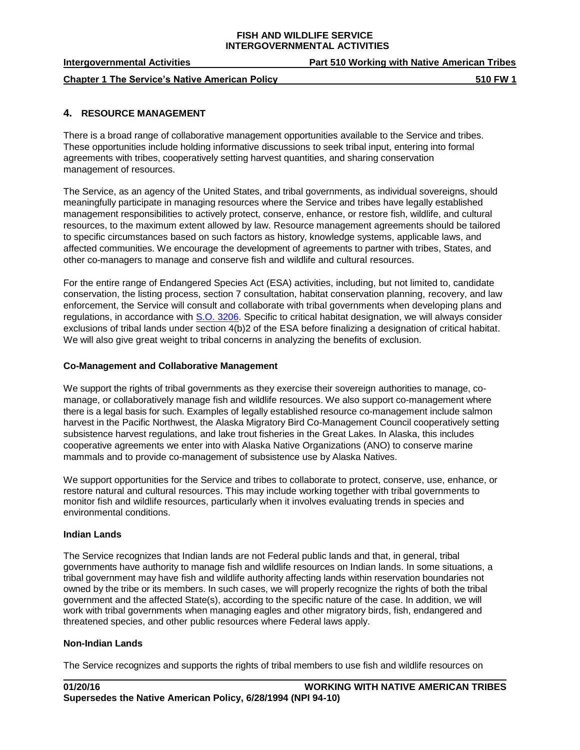| <b>Intergovernmental Activities</b>                   | <b>Part 510 Working with Native American Tribes</b> |
|-------------------------------------------------------|-----------------------------------------------------|
| <b>Chapter 1 The Service's Native American Policy</b> | 510 FW 1                                            |

# **4. RESOURCE MANAGEMENT**

There is a broad range of collaborative management opportunities available to the Service and tribes. These opportunities include holding informative discussions to seek tribal input, entering into formal agreements with tribes, cooperatively setting harvest quantities, and sharing conservation management of resources.

The Service, as an agency of the United States, and tribal governments, as individual sovereigns, should meaningfully participate in managing resources where the Service and tribes have legally established management responsibilities to actively protect, conserve, enhance, or restore fish, wildlife, and cultural resources, to the maximum extent allowed by law. Resource management agreements should be tailored to specific circumstances based on such factors as history, knowledge systems, applicable laws, and affected communities. We encourage the development of agreements to partner with tribes, States, and other co-managers to manage and conserve fish and wildlife and cultural resources.

For the entire range of Endangered Species Act (ESA) activities, including, but not limited to, candidate conservation, the listing process, section 7 consultation, habitat conservation planning, recovery, and law enforcement, the Service will consult and collaborate with tribal governments when developing plans and regulations, in accordance with [S.O. 3206.](http://elips.doi.gov/ELIPS/DocView.aspx?id=137&dbid=0) Specific to critical habitat designation, we will always consider exclusions of tribal lands under section 4(b)2 of the ESA before finalizing a designation of critical habitat. We will also give great weight to tribal concerns in analyzing the benefits of exclusion.

### **Co-Management and Collaborative Management**

We support the rights of tribal governments as they exercise their sovereign authorities to manage, comanage, or collaboratively manage fish and wildlife resources. We also support co-management where there is a legal basis for such. Examples of legally established resource co-management include salmon harvest in the Pacific Northwest, the Alaska Migratory Bird Co-Management Council cooperatively setting subsistence harvest regulations, and lake trout fisheries in the Great Lakes. In Alaska, this includes cooperative agreements we enter into with Alaska Native Organizations (ANO) to conserve marine mammals and to provide co-management of subsistence use by Alaska Natives.

We support opportunities for the Service and tribes to collaborate to protect, conserve, use, enhance, or restore natural and cultural resources. This may include working together with tribal governments to monitor fish and wildlife resources, particularly when it involves evaluating trends in species and environmental conditions.

#### **Indian Lands**

The Service recognizes that Indian lands are not Federal public lands and that, in general, tribal governments have authority to manage fish and wildlife resources on Indian lands. In some situations, a tribal government may have fish and wildlife authority affecting lands within reservation boundaries not owned by the tribe or its members. In such cases, we will properly recognize the rights of both the tribal government and the affected State(s), according to the specific nature of the case. In addition, we will work with tribal governments when managing eagles and other migratory birds, fish, endangered and threatened species, and other public resources where Federal laws apply.

# **Non-Indian Lands**

The Service recognizes and supports the rights of tribal members to use fish and wildlife resources on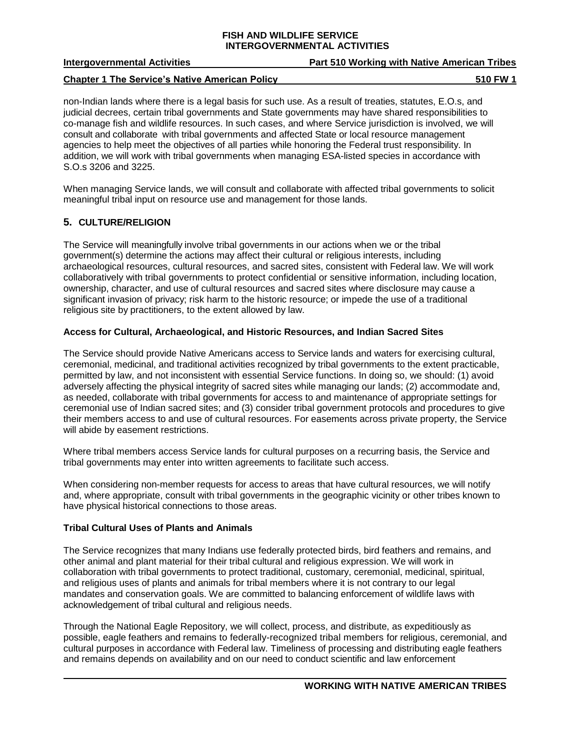| <b>Intergovernmental Activities</b>                   | <b>Part 510 Working with Native American Tribes</b> |
|-------------------------------------------------------|-----------------------------------------------------|
| <b>Chapter 1 The Service's Native American Policy</b> | 510 FW 1                                            |

non-Indian lands where there is a legal basis for such use. As a result of treaties, statutes, E.O.s, and judicial decrees, certain tribal governments and State governments may have shared responsibilities to co-manage fish and wildlife resources. In such cases, and where Service jurisdiction is involved, we will consult and collaborate with tribal governments and affected State or local resource management agencies to help meet the objectives of all parties while honoring the Federal trust responsibility. In addition, we will work with tribal governments when managing ESA-listed species in accordance with S.O.s 3206 and 3225.

When managing Service lands, we will consult and collaborate with affected tribal governments to solicit meaningful tribal input on resource use and management for those lands.

# **5. CULTURE/RELIGION**

The Service will meaningfully involve tribal governments in our actions when we or the tribal government(s) determine the actions may affect their cultural or religious interests, including archaeological resources, cultural resources, and sacred sites, consistent with Federal law. We will work collaboratively with tribal governments to protect confidential or sensitive information, including location, ownership, character, and use of cultural resources and sacred sites where disclosure may cause a significant invasion of privacy; risk harm to the historic resource; or impede the use of a traditional religious site by practitioners, to the extent allowed by law.

### **Access for Cultural, Archaeological, and Historic Resources, and Indian Sacred Sites**

The Service should provide Native Americans access to Service lands and waters for exercising cultural, ceremonial, medicinal, and traditional activities recognized by tribal governments to the extent practicable, permitted by law, and not inconsistent with essential Service functions. In doing so, we should: (1) avoid adversely affecting the physical integrity of sacred sites while managing our lands; (2) accommodate and, as needed, collaborate with tribal governments for access to and maintenance of appropriate settings for ceremonial use of Indian sacred sites; and (3) consider tribal government protocols and procedures to give their members access to and use of cultural resources. For easements across private property, the Service will abide by easement restrictions.

Where tribal members access Service lands for cultural purposes on a recurring basis, the Service and tribal governments may enter into written agreements to facilitate such access.

When considering non-member requests for access to areas that have cultural resources, we will notify and, where appropriate, consult with tribal governments in the geographic vicinity or other tribes known to have physical historical connections to those areas.

#### **Tribal Cultural Uses of Plants and Animals**

The Service recognizes that many Indians use federally protected birds, bird feathers and remains, and other animal and plant material for their tribal cultural and religious expression. We will work in collaboration with tribal governments to protect traditional, customary, ceremonial, medicinal, spiritual, and religious uses of plants and animals for tribal members where it is not contrary to our legal mandates and conservation goals. We are committed to balancing enforcement of wildlife laws with acknowledgement of tribal cultural and religious needs.

Through the National Eagle Repository, we will collect, process, and distribute, as expeditiously as possible, eagle feathers and remains to federally-recognized tribal members for religious, ceremonial, and cultural purposes in accordance with Federal law. Timeliness of processing and distributing eagle feathers and remains depends on availability and on our need to conduct scientific and law enforcement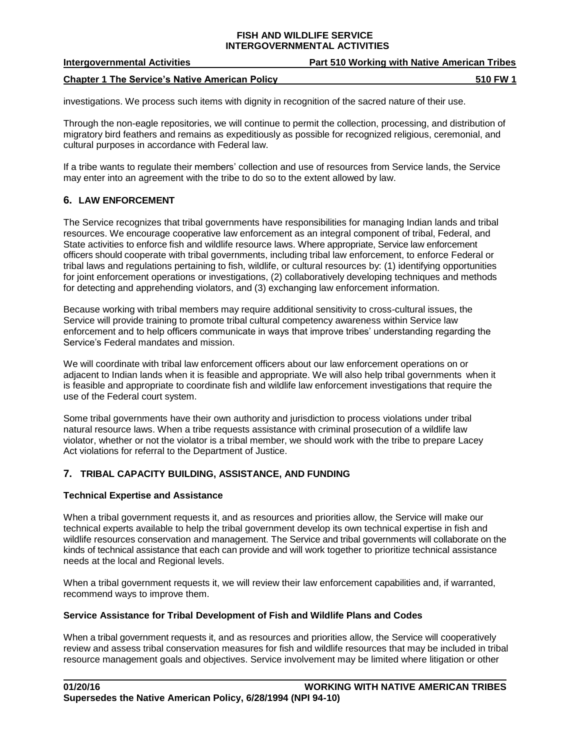| <b>Intergovernmental Activities</b>                   | <b>Part 510 Working with Native American Tribes</b> |
|-------------------------------------------------------|-----------------------------------------------------|
| <b>Chapter 1 The Service's Native American Policy</b> | 510 FW 1                                            |

investigations. We process such items with dignity in recognition of the sacred nature of their use.

Through the non-eagle repositories, we will continue to permit the collection, processing, and distribution of migratory bird feathers and remains as expeditiously as possible for recognized religious, ceremonial, and cultural purposes in accordance with Federal law.

If a tribe wants to regulate their members' collection and use of resources from Service lands, the Service may enter into an agreement with the tribe to do so to the extent allowed by law.

# **6. LAW ENFORCEMENT**

The Service recognizes that tribal governments have responsibilities for managing Indian lands and tribal resources. We encourage cooperative law enforcement as an integral component of tribal, Federal, and State activities to enforce fish and wildlife resource laws. Where appropriate, Service law enforcement officers should cooperate with tribal governments, including tribal law enforcement, to enforce Federal or tribal laws and regulations pertaining to fish, wildlife, or cultural resources by: (1) identifying opportunities for joint enforcement operations or investigations, (2) collaboratively developing techniques and methods for detecting and apprehending violators, and (3) exchanging law enforcement information.

Because working with tribal members may require additional sensitivity to cross-cultural issues, the Service will provide training to promote tribal cultural competency awareness within Service law enforcement and to help officers communicate in ways that improve tribes' understanding regarding the Service's Federal mandates and mission.

We will coordinate with tribal law enforcement officers about our law enforcement operations on or adjacent to Indian lands when it is feasible and appropriate. We will also help tribal governments when it is feasible and appropriate to coordinate fish and wildlife law enforcement investigations that require the use of the Federal court system.

Some tribal governments have their own authority and jurisdiction to process violations under tribal natural resource laws. When a tribe requests assistance with criminal prosecution of a wildlife law violator, whether or not the violator is a tribal member, we should work with the tribe to prepare Lacey Act violations for referral to the Department of Justice.

# **7. TRIBAL CAPACITY BUILDING, ASSISTANCE, AND FUNDING**

# **Technical Expertise and Assistance**

When a tribal government requests it, and as resources and priorities allow, the Service will make our technical experts available to help the tribal government develop its own technical expertise in fish and wildlife resources conservation and management. The Service and tribal governments will collaborate on the kinds of technical assistance that each can provide and will work together to prioritize technical assistance needs at the local and Regional levels.

When a tribal government requests it, we will review their law enforcement capabilities and, if warranted, recommend ways to improve them.

# **Service Assistance for Tribal Development of Fish and Wildlife Plans and Codes**

When a tribal government requests it, and as resources and priorities allow, the Service will cooperatively review and assess tribal conservation measures for fish and wildlife resources that may be included in tribal resource management goals and objectives. Service involvement may be limited where litigation or other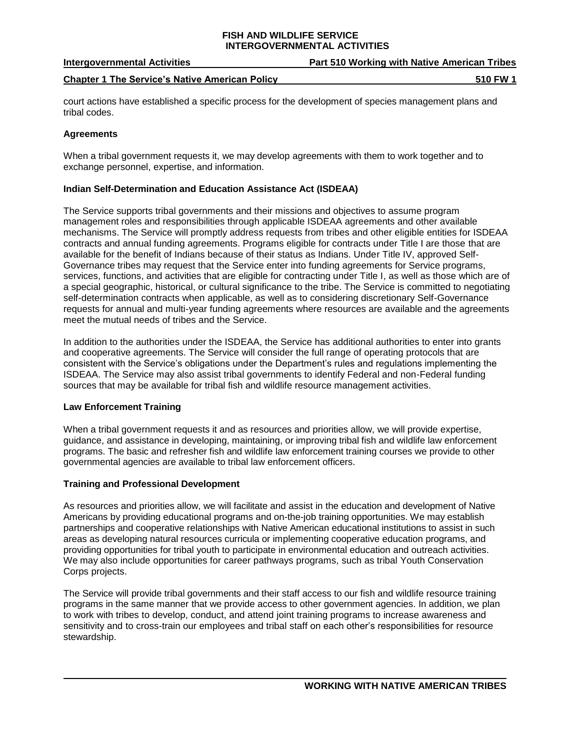| <b>Intergovernmental Activities</b>                   | <b>Part 510 Working with Native American Tribes</b> |
|-------------------------------------------------------|-----------------------------------------------------|
| <b>Chapter 1 The Service's Native American Policy</b> | 510 FW 1                                            |

court actions have established a specific process for the development of species management plans and tribal codes.

# **Agreements**

When a tribal government requests it, we may develop agreements with them to work together and to exchange personnel, expertise, and information.

### **Indian Self-Determination and Education Assistance Act (ISDEAA)**

The Service supports tribal governments and their missions and objectives to assume program management roles and responsibilities through applicable ISDEAA agreements and other available mechanisms. The Service will promptly address requests from tribes and other eligible entities for ISDEAA contracts and annual funding agreements. Programs eligible for contracts under Title I are those that are available for the benefit of Indians because of their status as Indians. Under Title IV, approved Self-Governance tribes may request that the Service enter into funding agreements for Service programs, services, functions, and activities that are eligible for contracting under Title I, as well as those which are of a special geographic, historical, or cultural significance to the tribe. The Service is committed to negotiating self-determination contracts when applicable, as well as to considering discretionary Self-Governance requests for annual and multi-year funding agreements where resources are available and the agreements meet the mutual needs of tribes and the Service.

In addition to the authorities under the ISDEAA, the Service has additional authorities to enter into grants and cooperative agreements. The Service will consider the full range of operating protocols that are consistent with the Service's obligations under the Department's rules and regulations implementing the ISDEAA. The Service may also assist tribal governments to identify Federal and non-Federal funding sources that may be available for tribal fish and wildlife resource management activities.

# **Law Enforcement Training**

When a tribal government requests it and as resources and priorities allow, we will provide expertise, guidance, and assistance in developing, maintaining, or improving tribal fish and wildlife law enforcement programs. The basic and refresher fish and wildlife law enforcement training courses we provide to other governmental agencies are available to tribal law enforcement officers.

# **Training and Professional Development**

As resources and priorities allow, we will facilitate and assist in the education and development of Native Americans by providing educational programs and on-the-job training opportunities. We may establish partnerships and cooperative relationships with Native American educational institutions to assist in such areas as developing natural resources curricula or implementing cooperative education programs, and providing opportunities for tribal youth to participate in environmental education and outreach activities. We may also include opportunities for career pathways programs, such as tribal Youth Conservation Corps projects.

The Service will provide tribal governments and their staff access to our fish and wildlife resource training programs in the same manner that we provide access to other government agencies. In addition, we plan to work with tribes to develop, conduct, and attend joint training programs to increase awareness and sensitivity and to cross-train our employees and tribal staff on each other's responsibilities for resource stewardship.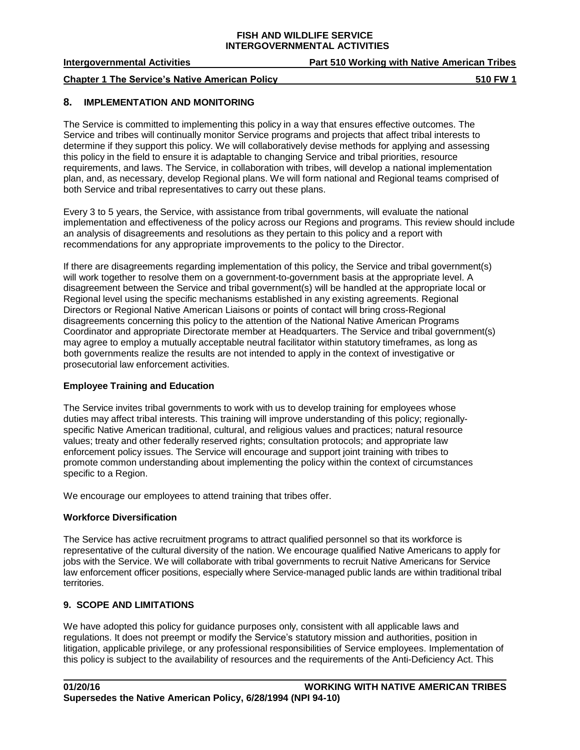### **Intergovernmental Activities Part 510 Working with Native American Tribes**

#### **Chapter 1** The Service's Native American Policy **510 FW** 1

#### **8. IMPLEMENTATION AND MONITORING**

The Service is committed to implementing this policy in a way that ensures effective outcomes. The Service and tribes will continually monitor Service programs and projects that affect tribal interests to determine if they support this policy. We will collaboratively devise methods for applying and assessing this policy in the field to ensure it is adaptable to changing Service and tribal priorities, resource requirements, and laws. The Service, in collaboration with tribes, will develop a national implementation plan, and, as necessary, develop Regional plans. We will form national and Regional teams comprised of both Service and tribal representatives to carry out these plans.

Every 3 to 5 years, the Service, with assistance from tribal governments, will evaluate the national implementation and effectiveness of the policy across our Regions and programs. This review should include an analysis of disagreements and resolutions as they pertain to this policy and a report with recommendations for any appropriate improvements to the policy to the Director.

If there are disagreements regarding implementation of this policy, the Service and tribal government(s) will work together to resolve them on a government-to-government basis at the appropriate level. A disagreement between the Service and tribal government(s) will be handled at the appropriate local or Regional level using the specific mechanisms established in any existing agreements. Regional Directors or Regional Native American Liaisons or points of contact will bring cross-Regional disagreements concerning this policy to the attention of the National Native American Programs Coordinator and appropriate Directorate member at Headquarters. The Service and tribal government(s) may agree to employ a mutually acceptable neutral facilitator within statutory timeframes, as long as both governments realize the results are not intended to apply in the context of investigative or prosecutorial law enforcement activities.

# **Employee Training and Education**

The Service invites tribal governments to work with us to develop training for employees whose duties may affect tribal interests. This training will improve understanding of this policy; regionallyspecific Native American traditional, cultural, and religious values and practices; natural resource values; treaty and other federally reserved rights; consultation protocols; and appropriate law enforcement policy issues. The Service will encourage and support joint training with tribes to promote common understanding about implementing the policy within the context of circumstances specific to a Region.

We encourage our employees to attend training that tribes offer.

# **Workforce Diversification**

The Service has active recruitment programs to attract qualified personnel so that its workforce is representative of the cultural diversity of the nation. We encourage qualified Native Americans to apply for jobs with the Service. We will collaborate with tribal governments to recruit Native Americans for Service law enforcement officer positions, especially where Service-managed public lands are within traditional tribal territories.

# **9. SCOPE AND LIMITATIONS**

We have adopted this policy for guidance purposes only, consistent with all applicable laws and regulations. It does not preempt or modify the Service's statutory mission and authorities, position in litigation, applicable privilege, or any professional responsibilities of Service employees. Implementation of this policy is subject to the availability of resources and the requirements of the Anti-Deficiency Act. This